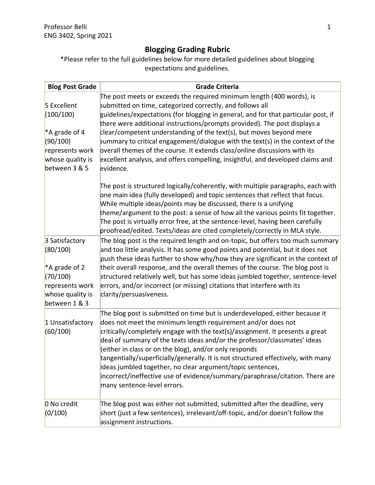# **Blogging Grading Rubric**

\*Please refer to the full guidelines below for more detailed guidelines about blogging expectations and guidelines.

| <b>Blog Post Grade</b>                                                                                          | <b>Grade Criteria</b>                                                                                                                                                                                                                                                                                                                                                                                                                                                                                                                                                                                                                        |
|-----------------------------------------------------------------------------------------------------------------|----------------------------------------------------------------------------------------------------------------------------------------------------------------------------------------------------------------------------------------------------------------------------------------------------------------------------------------------------------------------------------------------------------------------------------------------------------------------------------------------------------------------------------------------------------------------------------------------------------------------------------------------|
| 5 Excellent<br>(100/100)<br>*A grade of 4<br>(90/100)<br>represents work<br>whose quality is<br>between 3 & 5   | The post meets or exceeds the required minimum length (400 words), is<br>submitted on time, categorized correctly, and follows all<br>guidelines/expectations (for blogging in general, and for that particular post, if<br>there were additional instructions/prompts provided). The post displays a<br>clear/competent understanding of the text(s), but moves beyond mere<br>summary to critical engagement/dialogue with the text(s) in the context of the<br>pverall themes of the course. It extends class/online discussions with its<br>excellent analysis, and offers compelling, insightful, and developed claims and<br>evidence. |
|                                                                                                                 | The post is structured logically/coherently, with multiple paragraphs, each with<br>one main idea (fully developed) and topic sentences that reflect that focus.<br>While multiple ideas/points may be discussed, there is a unifying<br>theme/argument to the post: a sense of how all the various points fit together.<br>The post is virtually error free, at the sentence-level, having been carefully<br>proofread/edited. Texts/ideas are cited completely/correctly in MLA style.                                                                                                                                                     |
| 3 Satisfactory<br>(80/100)<br>*A grade of 2<br>(70/100)<br>represents work<br>whose quality is<br>between 1 & 3 | The blog post is the required length and on-topic, but offers too much summary<br>and too little analysis. It has some good points and potential, but it does not<br>push these ideas further to show why/how they are significant in the context of<br>their overall response, and the overall themes of the course. The blog post is<br>structured relatively well, but has some ideas jumbled together, sentence-level<br>errors, and/or incorrect (or missing) citations that interfere with its<br>clarity/persuasiveness.                                                                                                              |
| 1 Unsatisfactory<br>(60/100)                                                                                    | The blog post is submitted on time but is underdeveloped, either because it<br>does not meet the minimum length requirement and/or does not<br>critically/completely engage with the text(s)/assignment. It presents a great<br>deal of summary of the texts ideas and/or the professor/classmates' ideas<br>(either in class or on the blog), and/or only responds<br>tangentially/superficially/generally. It is not structured effectively, with many<br>ideas jumbled together, no clear argument/topic sentences,<br>incorrect/ineffective use of evidence/summary/paraphrase/citation. There are<br>many sentence-level errors.        |
| 0 No credit<br>(0/100)                                                                                          | The blog post was either not submitted, submitted after the deadline, very<br>short (just a few sentences), irrelevant/off-topic, and/or doesn't follow the<br>assignment instructions.                                                                                                                                                                                                                                                                                                                                                                                                                                                      |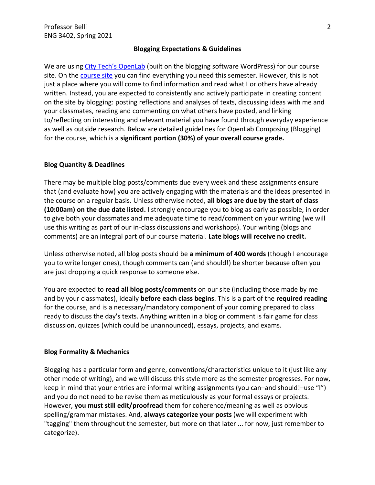### **Blogging Expectations & Guidelines**

We are using [City Tech's](https://openlab.citytech.cuny.edu/) OpenLab (built on the blogging software WordPress) for our course site. On the [course site](https://openlab.citytech.cuny.edu/belli-sp2021-eng3402/) you can find everything you need this semester. However, this is not just a place where you will come to find information and read what I or others have already written. Instead, you are expected to consistently and actively participate in creating content on the site by blogging: posting reflections and analyses of texts, discussing ideas with me and your classmates, reading and commenting on what others have posted, and linking to/reflecting on interesting and relevant material you have found through everyday experience as well as outside research. Below are detailed guidelines for OpenLab Composing (Blogging) for the course, which is a **significant portion (30%) of your overall course grade.**

# **Blog Quantity & Deadlines**

There may be multiple blog posts/comments due every week and these assignments ensure that (and evaluate how) you are actively engaging with the materials and the ideas presented in the course on a regular basis. Unless otherwise noted, **all blogs are due by the start of class (10:00am) on the due date listed.** I strongly encourage you to blog as early as possible, in order to give both your classmates and me adequate time to read/comment on your writing (we will use this writing as part of our in-class discussions and workshops). Your writing (blogs and comments) are an integral part of our course material. **Late blogs will receive no credit.**

Unless otherwise noted, all blog posts should be **a minimum of 400 words** (though I encourage you to write longer ones), though comments can (and should!) be shorter because often you are just dropping a quick response to someone else.

You are expected to **read all blog posts/comments** on our site (including those made by me and by your classmates), ideally **before each class begins**. This is a part of the **required reading** for the course, and is a necessary/mandatory component of your coming prepared to class ready to discuss the day's texts. Anything written in a blog or comment is fair game for class discussion, quizzes (which could be unannounced), essays, projects, and exams.

# **Blog Formality & Mechanics**

Blogging has a particular form and genre, conventions/characteristics unique to it (just like any other mode of writing), and we will discuss this style more as the semester progresses. For now, keep in mind that your entries are informal writing assignments (you can–and should!–use "I") and you do not need to be revise them as meticulously as your formal essays or projects. However, **you must still edit/proofread** them for coherence/meaning as well as obvious spelling/grammar mistakes. And, **always categorize your posts** (we will experiment with "tagging" them throughout the semester, but more on that later ... for now, just remember to categorize).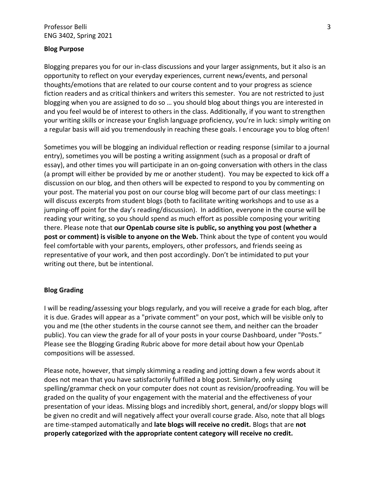#### **Blog Purpose**

Blogging prepares you for our in-class discussions and your larger assignments, but it also is an opportunity to reflect on your everyday experiences, current news/events, and personal thoughts/emotions that are related to our course content and to your progress as science fiction readers and as critical thinkers and writers this semester. You are not restricted to just blogging when you are assigned to do so … you should blog about things you are interested in and you feel would be of interest to others in the class. Additionally, if you want to strengthen your writing skills or increase your English language proficiency, you're in luck: simply writing on a regular basis will aid you tremendously in reaching these goals. I encourage you to blog often!

Sometimes you will be blogging an individual reflection or reading response (similar to a journal entry), sometimes you will be posting a writing assignment (such as a proposal or draft of essay), and other times you will participate in an on-going conversation with others in the class (a prompt will either be provided by me or another student). You may be expected to kick off a discussion on our blog, and then others will be expected to respond to you by commenting on your post. The material you post on our course blog will become part of our class meetings: I will discuss excerpts from student blogs (both to facilitate writing workshops and to use as a jumping-off point for the day's reading/discussion). In addition, everyone in the course will be reading your writing, so you should spend as much effort as possible composing your writing there. Please note that **our OpenLab course site is public, so anything you post (whether a post or comment) is visible to anyone on the Web.** Think about the type of content you would feel comfortable with your parents, employers, other professors, and friends seeing as representative of your work, and then post accordingly. Don't be intimidated to put your writing out there, but be intentional.

### **Blog Grading**

I will be reading/assessing your blogs regularly, and you will receive a grade for each blog, after it is due. Grades will appear as a "private comment" on your post, which will be visible only to you and me (the other students in the course cannot see them, and neither can the broader public). You can view the grade for all of your posts in your course Dashboard, under "Posts." Please see the Blogging Grading Rubric above for more detail about how your OpenLab compositions will be assessed.

Please note, however, that simply skimming a reading and jotting down a few words about it does not mean that you have satisfactorily fulfilled a blog post. Similarly, only using spelling/grammar check on your computer does not count as revision/proofreading. You will be graded on the quality of your engagement with the material and the effectiveness of your presentation of your ideas. Missing blogs and incredibly short, general, and/or sloppy blogs will be given no credit and will negatively affect your overall course grade. Also, note that all blogs are time-stamped automatically and **late blogs will receive no credit.** Blogs that are **not properly categorized with the appropriate content category will receive no credit.**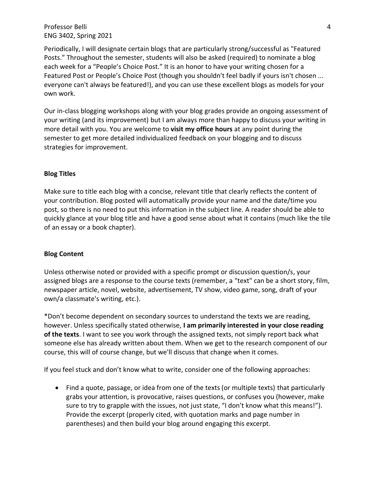Professor Belli ENG 3402, Spring 2021

Periodically, I will designate certain blogs that are particularly strong/successful as "Featured Posts." Throughout the semester, students will also be asked (required) to nominate a blog each week for a "People's Choice Post." It is an honor to have your writing chosen for a Featured Post or People's Choice Post (though you shouldn't feel badly if yours isn't chosen ... everyone can't always be featured!), and you can use these excellent blogs as models for your own work.

Our in-class blogging workshops along with your blog grades provide an ongoing assessment of your writing (and its improvement) but I am always more than happy to discuss your writing in more detail with you. You are welcome to **visit my office hours** at any point during the semester to get more detailed individualized feedback on your blogging and to discuss strategies for improvement.

#### **Blog Titles**

Make sure to title each blog with a concise, relevant title that clearly reflects the content of your contribution. Blog posted will automatically provide your name and the date/time you post, so there is no need to put this information in the subject line. A reader should be able to quickly glance at your blog title and have a good sense about what it contains (much like the tile of an essay or a book chapter).

#### **Blog Content**

Unless otherwise noted or provided with a specific prompt or discussion question/s, your assigned blogs are a response to the course texts (remember, a "text" can be a short story, film, newspaper article, novel, website, advertisement, TV show, video game, song, draft of your own/a classmate's writing, etc.).

\*Don't become dependent on secondary sources to understand the texts we are reading, however. Unless specifically stated otherwise, **I am primarily interested in your close reading of the texts**. I want to see you work through the assigned texts, not simply report back what someone else has already written about them. When we get to the research component of our course, this will of course change, but we'll discuss that change when it comes.

If you feel stuck and don't know what to write, consider one of the following approaches:

• Find a quote, passage, or idea from one of the texts (or multiple texts) that particularly grabs your attention, is provocative, raises questions, or confuses you (however, make sure to try to grapple with the issues, not just state, "I don't know what this means!"). Provide the excerpt (properly cited, with quotation marks and page number in parentheses) and then build your blog around engaging this excerpt.